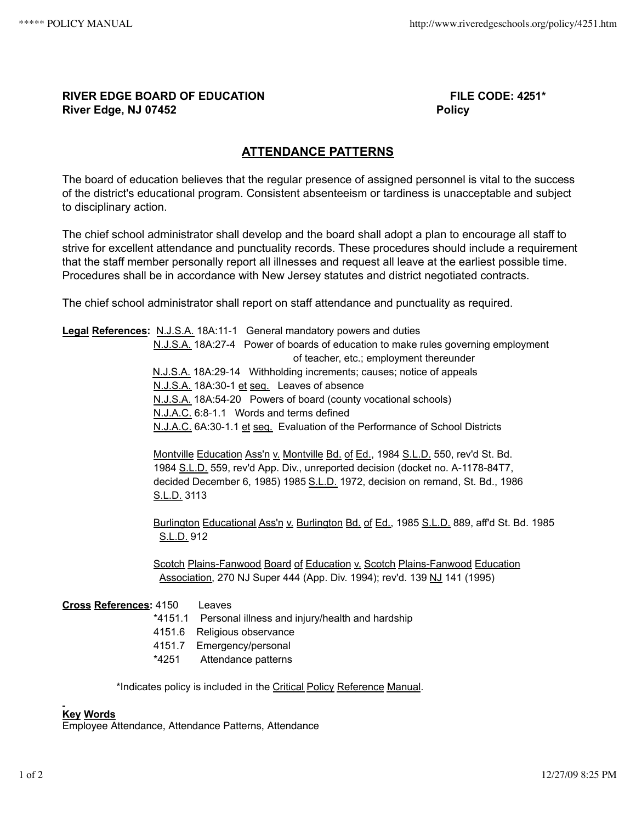## **RIVER EDGE BOARD OF EDUCATION FILE CODE: 4251\* River Edge, NJ 07452 Policy**

## **ATTENDANCE PATTERNS**

The board of education believes that the regular presence of assigned personnel is vital to the success of the district's educational program. Consistent absenteeism or tardiness is unacceptable and subject to disciplinary action.

The chief school administrator shall develop and the board shall adopt a plan to encourage all staff to strive for excellent attendance and punctuality records. These procedures should include a requirement that the staff member personally report all illnesses and request all leave at the earliest possible time. Procedures shall be in accordance with New Jersey statutes and district negotiated contracts.

The chief school administrator shall report on staff attendance and punctuality as required.

**Legal References:** N.J.S.A. 18A:11‑1 General mandatory powers and duties N.J.S.A. 18A:27‑4 Power of boards of education to make rules governing employment of teacher, etc.; employment thereunder N.J.S.A. 18A:29‑14 Withholding increments; causes; notice of appeals N.J.S.A. 18A:30-1 et seq. Leaves of absence N.J.S.A. 18A:54‑20 Powers of board (county vocational schools) N.J.A.C. 6:8‑1.1 Words and terms defined N.J.A.C. 6A:30-1.1 et seq. Evaluation of the Performance of School Districts Montville Education Ass'n v. Montville Bd. of Ed., 1984 S.L.D. 550, rev'd St. Bd. 1984 S.L.D. 559, rev'd App. Div., unreported decision (docket no. A-1178-84T7, decided December 6, 1985) 1985 S.L.D. 1972, decision on remand, St. Bd., 1986 S.L.D. 3113 Burlington Educational Ass'n v. Burlington Bd. of Ed., 1985 S.L.D. 889, aff'd St. Bd. 1985

S.L.D. 912

Scotch Plains-Fanwood Board of Education v. Scotch Plains-Fanwood Education Association, 270 NJ Super 444 (App. Div. 1994); rev'd. 139 NJ 141 (1995)

## **Cross References:** 4150 Leaves

- \*4151.1 Personal illness and injury/health and hardship
- 4151.6 Religious observance
- 4151.7 Emergency/personal
- \*4251 Attendance patterns

\*Indicates policy is included in the Critical Policy Reference Manual.

## **Key Words**

Employee Attendance, Attendance Patterns, Attendance